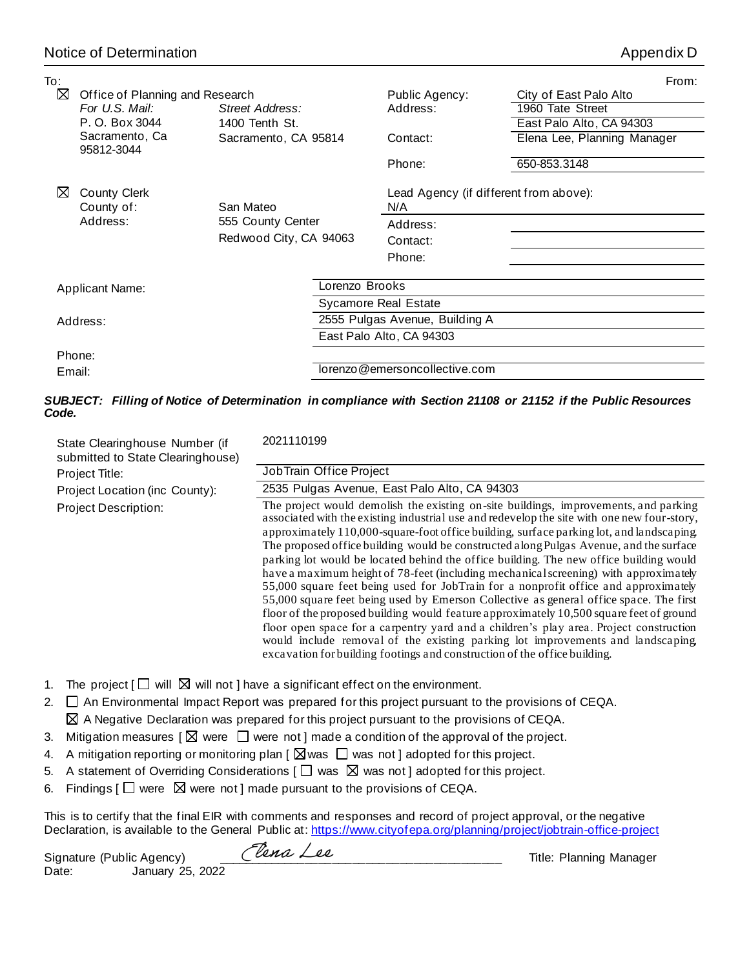| To:    |                                   |                        |                |                                               |                             | From: |
|--------|-----------------------------------|------------------------|----------------|-----------------------------------------------|-----------------------------|-------|
| ⊠      | Office of Planning and Research   |                        |                | Public Agency:                                | City of East Palo Alto      |       |
|        | For U.S. Mail:                    | Street Address:        |                | Address:                                      | 1960 Tate Street            |       |
|        | P. O. Box 3044                    | 1400 Tenth St.         |                |                                               | East Palo Alto, CA 94303    |       |
|        | Sacramento, Ca<br>95812-3044      | Sacramento, CA 95814   |                | Contact:                                      | Elena Lee, Planning Manager |       |
|        |                                   |                        |                | Phone:                                        | 650-853.3148                |       |
| ⋈      | <b>County Clerk</b><br>County of: | San Mateo              |                | Lead Agency (if different from above):<br>N/A |                             |       |
|        | Address:                          | 555 County Center      |                | Address:                                      |                             |       |
|        |                                   | Redwood City, CA 94063 |                | Contact:                                      |                             |       |
|        |                                   |                        |                | Phone:                                        |                             |       |
|        |                                   |                        |                |                                               |                             |       |
|        | <b>Applicant Name:</b>            |                        | Lorenzo Brooks |                                               |                             |       |
|        |                                   |                        |                | <b>Sycamore Real Estate</b>                   |                             |       |
|        | Address:                          |                        |                | 2555 Pulgas Avenue, Building A                |                             |       |
|        |                                   |                        |                | East Palo Alto, CA 94303                      |                             |       |
|        | Phone:                            |                        |                |                                               |                             |       |
| Email: |                                   |                        |                | lorenzo@emersoncollective.com                 |                             |       |
|        |                                   |                        |                |                                               |                             |       |

## *SUBJECT: Filling of Notice of Determination in compliance with Section 21108 or 21152 if the Public Resources Code.*

| State Clearinghouse Number (if<br>submitted to State Clearinghouse)<br>Project Title:<br>Project Location (inc County): | 2021110199<br>JobTrain Office Project<br>2535 Pulgas Avenue, East Palo Alto, CA 94303                                                                                                                                                                                                                                                                                                                                                                                                                                                                                                                                                                                                                                                                                                                                                                                                                                                                                                                                                                                                             |
|-------------------------------------------------------------------------------------------------------------------------|---------------------------------------------------------------------------------------------------------------------------------------------------------------------------------------------------------------------------------------------------------------------------------------------------------------------------------------------------------------------------------------------------------------------------------------------------------------------------------------------------------------------------------------------------------------------------------------------------------------------------------------------------------------------------------------------------------------------------------------------------------------------------------------------------------------------------------------------------------------------------------------------------------------------------------------------------------------------------------------------------------------------------------------------------------------------------------------------------|
| Project Description:                                                                                                    | The project would demolish the existing on-site buildings, improvements, and parking<br>associated with the existing industrial use and redevelop the site with one new four-story,<br>approximately 110,000-square-foot office building, surface parking lot, and landscaping.<br>The proposed office building would be constructed along Pulgas Avenue, and the surface<br>parking lot would be located behind the office building. The new office building would<br>have a maximum height of 78-feet (including mechanical screening) with approximately<br>55,000 square feet being used for JobTrain for a nonprofit office and approximately<br>55,000 square feet being used by Emerson Collective as general office space. The first<br>floor of the proposed building would feature approximately 10,500 square feet of ground<br>floor open space for a carpentry yard and a children's play area. Project construction<br>would include removal of the existing parking lot improvements and landscaping,<br>excavation for building footings and construction of the office building. |

- 1. The project  $[\Box \text{ will } \boxtimes \text{ will not } ]$  have a significant effect on the environment.
- 2.  $\Box$  An Environmental Impact Report was prepared for this project pursuant to the provisions of CEQA.  $\boxtimes$  A Negative Declaration was prepared for this project pursuant to the provisions of CEQA.
- 3. Mitigation measures  $\lbrack \boxtimes$  were  $\Box$  were not ] made a condition of the approval of the project.
- 4. A mitigation reporting or monitoring plan  $\lceil \,\boxtimes \,\text{was } \square \,$  was not ] adopted for this project.
- 5. A statement of Overriding Considerations  $[\Box$  was  $\boxtimes$  was not ] adopted for this project.
- 6. Findings  $\Box$  were  $\boxtimes$  were not ] made pursuant to the provisions of CEQA.

This is to certify that the final EIR with comments and responses and record of project approval, or the negative Declaration, is available to the General Public at: https://www.cityofepa.org/planning/project/jobtrain-office-project

Signature (Public Agency)  $\ell$   $\ell$   $\ell$   $\ell$   $\ell$ Date: January 25, 2022